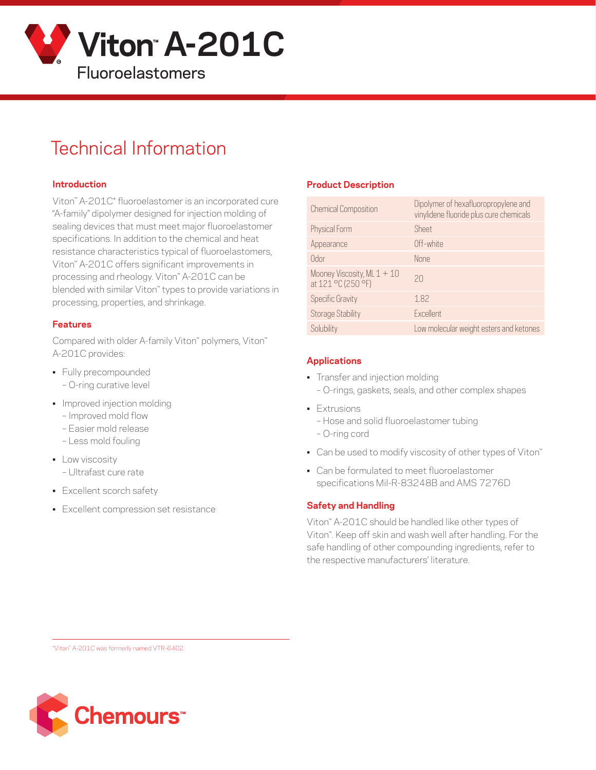

# Technical Information

#### **Introduction**

Viton™ A-201C\* fluoroelastomer is an incorporated cure "A-family" dipolymer designed for injection molding of sealing devices that must meet major fluoroelastomer specifications. In addition to the chemical and heat resistance characteristics typical of fluoroelastomers, Viton™ A-201C offers significant improvements in processing and rheology. Viton™ A-201C can be blended with similar Viton™ types to provide variations in processing, properties, and shrinkage.

#### **Features**

Compared with older A-family Viton™ polymers, Viton™ A-201C provides:

- Fully precompounded
	- O-ring curative level
- Improved injection molding
	- Improved mold flow
	- Easier mold release
	- Less mold fouling
- **•** Low viscosity – Ultrafast cure rate
- Excellent scorch safety
- Excellent compression set resistance

#### **Product Description**

| <b>Chemical Composition</b>                         | Dipolymer of hexafluoropropylene and<br>vinylidene fluoride plus cure chemicals |
|-----------------------------------------------------|---------------------------------------------------------------------------------|
| Physical Form                                       | Sheet                                                                           |
| Appearance                                          | Off-white                                                                       |
| Odor                                                | <b>None</b>                                                                     |
| Mooney Viscosity, ML $1 + 10$<br>at 121 °C (250 °F) | 20                                                                              |
| <b>Specific Gravity</b>                             | 1.82                                                                            |
| Storage Stability                                   | <b>Fxcellent</b>                                                                |
| Solubility                                          | Low molecular weight esters and ketones                                         |

#### **Applications**

- Transfer and injection molding
	- O-rings, gaskets, seals, and other complex shapes
- Extrusions
	- Hose and solid fluoroelastomer tubing
	- O-ring cord
- Can be used to modify viscosity of other types of Viton™
- Can be formulated to meet fluoroelastomer specifications Mil-R-83248B and AMS 7276D

#### **Safety and Handling**

Viton™ A-201C should be handled like other types of Viton™. Keep off skin and wash well after handling. For the safe handling of other compounding ingredients, refer to the respective manufacturers' literature.

\*Viton™ A-201C was formerly named VTR-6402.

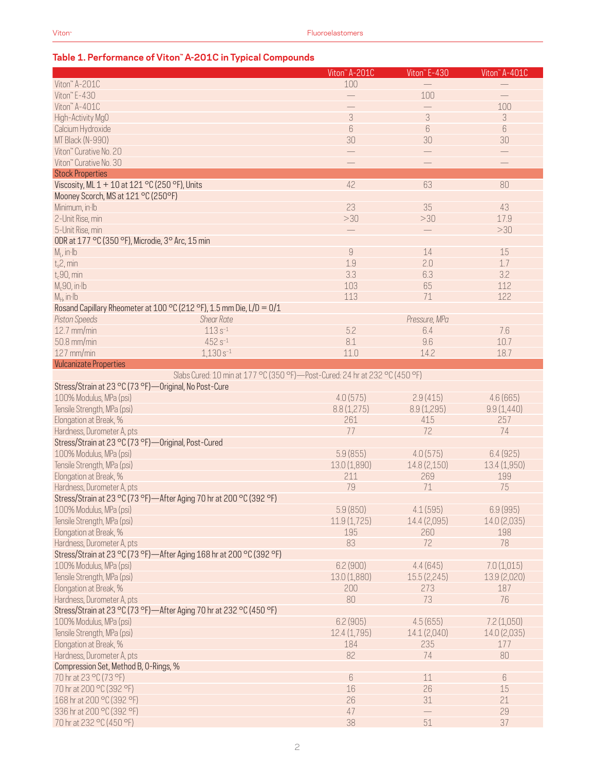#### **Table 1. Performance of Viton™ A-201C in Typical Compounds**

|                                                                             | Viton" A-201C            | Viton" E-430             | Viton" A-401C     |
|-----------------------------------------------------------------------------|--------------------------|--------------------------|-------------------|
| Viton" A-201C                                                               | 100                      |                          |                   |
| Viton" E-430                                                                |                          | 100                      |                   |
| Viton" A-401C                                                               |                          | $\overline{\phantom{0}}$ | 100               |
| High-Activity MgO                                                           | 3                        | 3                        | $\sqrt{3}$        |
| Calcium Hydroxide                                                           | 6                        | 6                        | 6                 |
| MT Black (N-990)                                                            | 30                       | 30                       | 30                |
| Viton" Curative No. 20                                                      | $\overline{\phantom{0}}$ |                          | $\qquad \qquad -$ |
|                                                                             |                          |                          |                   |
| Viton" Curative No. 30                                                      |                          |                          |                   |
| <b>Stock Properties</b>                                                     |                          |                          |                   |
| Viscosity, ML 1 + 10 at 121 °C (250 °F), Units                              | 42                       | 63                       | 80                |
| Mooney Scorch, MS at 121 °C (250°F)                                         |                          |                          |                   |
| Minimum, in Ib                                                              | 23                       | 35                       | 43                |
| 2-Unit Rise, min                                                            | >30                      | >30                      | 17.9              |
| 5-Unit Rise, min                                                            |                          |                          | >30               |
| ODR at 177 °C (350 °F), Microdie, 3° Arc, 15 min                            |                          |                          |                   |
| $M1$ , in Ib                                                                | $\overline{9}$           | 14                       | 15                |
| $t_s$ 2, min                                                                | 1.9                      | 2.0                      | 1.7               |
| $t_c90$ , min                                                               | 3.3                      | 6.3                      | 3.2               |
| $Mc90$ , in Ib                                                              | 103                      | 65                       | 112               |
| $M_H$ , in $Ib$                                                             | 113                      | 71                       | 122               |
| Rosand Capillary Rheometer at 100 °C (212 °F), 1.5 mm Die, L/D = 0/1        |                          |                          |                   |
| <b>Shear Rate</b><br><b>Piston Speeds</b>                                   |                          | Pressure, MPa            |                   |
| $113s^{-1}$<br>$12.7$ mm/min                                                | 5.2                      | 6.4                      | 7.6               |
| 50.8 mm/min<br>$452 s^{-1}$                                                 | 8.1                      | 9.6                      | 10.7              |
| $127$ mm/min<br>$1,130s^{-1}$                                               | 11.0                     | 14.2                     | 18.7              |
|                                                                             |                          |                          |                   |
| <b>Vulcanizate Properties</b>                                               |                          |                          |                   |
| Slabs Cured: 10 min at 177 °C (350 °F)-Post-Cured: 24 hr at 232 °C (450 °F) |                          |                          |                   |
| Stress/Strain at 23 °C (73 °F)-Original, No Post-Cure                       |                          |                          |                   |
| 100% Modulus, MPa (psi)                                                     | 4.0(575)                 | 2.9(415)                 | 4.6(665)          |
| Tensile Strength, MPa (psi)                                                 | 8.8(1,275)               | 8.9(1,295)               | 9.9(1,440)        |
| Elongation at Break, %                                                      | 261                      | 415                      | 257               |
| Hardness, Durometer A, pts                                                  | 77                       | 72                       | 74                |
| Stress/Strain at 23 °C (73 °F)-Original, Post-Cured                         |                          |                          |                   |
| 100% Modulus, MPa (psi)                                                     | 5.9(855)                 | 4.0(575)                 | 6.4(925)          |
| Tensile Strength, MPa (psi)                                                 | 13.0(1,890)              | 14.8 (2,150)             | 13.4(1,950)       |
| Elongation at Break, %                                                      | 211                      | 269                      | 199               |
| Hardness, Durometer A, pts                                                  | 79                       | 71                       | 75                |
| Stress/Strain at 23 °C (73 °F)—After Aging 70 hr at 200 °C (392 °F)         |                          |                          |                   |
| 100% Modulus, MPa (psi)                                                     | 5.9(850)                 | 4.1(595)                 | 6.9 (995)         |
| Tensile Strength, MPa (psi)                                                 | 11.9(1,725)              | 14.4 (2,095)             | 14.0 (2,035)      |
| Elongation at Break, %                                                      | 195                      | 260                      | 198               |
| Hardness, Durometer A, pts                                                  | 83                       | 72                       | 78                |
| Stress/Strain at 23 °C (73 °F)-After Aging 168 hr at 200 °C (392 °F)        |                          |                          |                   |
| 100% Modulus, MPa (psi)                                                     | 6.2(900)                 | 4.4(645)                 | 7.0(1,015)        |
|                                                                             |                          |                          |                   |
| Tensile Strength, MPa (psi)                                                 | 13.0 (1,880)             | 15.5(2,245)              | 13.9 (2,020)      |
| Elongation at Break, %                                                      | 200                      | 273                      | 187               |
| Hardness, Durometer A, pts                                                  | 80                       | 73                       | 76                |
| Stress/Strain at 23 °C (73 °F)—After Aging 70 hr at 232 °C (450 °F)         |                          |                          |                   |
| 100% Modulus, MPa (psi)                                                     | 6.2(905)                 | 4.5(655)                 | 7.2(1,050)        |
| Tensile Strength, MPa (psi)                                                 | 12.4(1,795)              | 14.1 (2,040)             | 14.0 (2,035)      |
| Elongation at Break, %                                                      | 184                      | 235                      | 177               |
| Hardness, Durometer A, pts                                                  | 82                       | 74                       | 80                |
| Compression Set, Method B, O-Rings, %                                       |                          |                          |                   |
| 70 hr at 23 °C (73 °F)                                                      | 6                        | 11                       | 6                 |
| 70 hr at 200 °C (392 °F)                                                    | 16                       | 26                       | 15                |
| 168 hr at 200 °C (392 °F)                                                   | 26                       | 31                       | 21                |
| 336 hr at 200 °C (392 °F)                                                   | 47                       |                          | 29                |
| 70 hr at 232 °C (450 °F)                                                    | 38                       | 51                       | 37                |
|                                                                             |                          |                          |                   |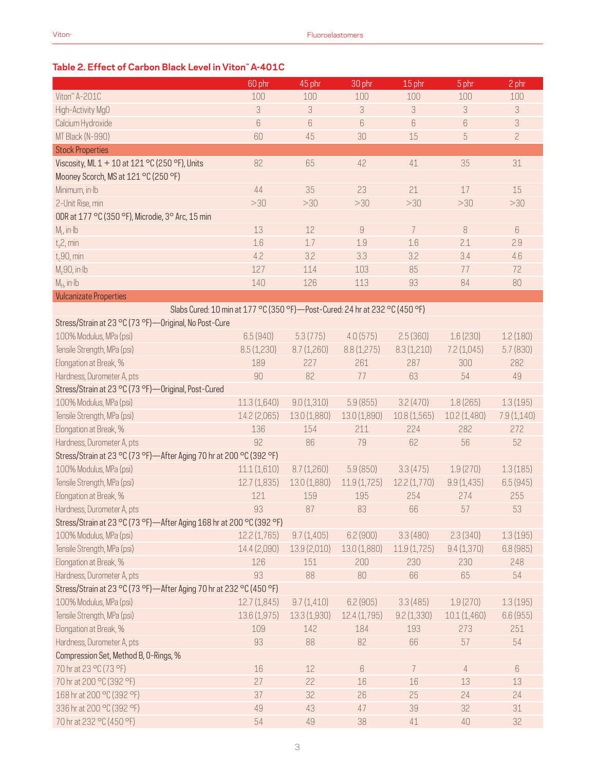## **Table 2. Effect of Carbon Black Level in Viton™ A-401C**

|                                                                               | 60 phr       | 45 phr       | 30 phr                                                                                                                                                                                                                                                                                                                                                                                                                                                        | 15 phr      | 5 phr          | 2 phr          |
|-------------------------------------------------------------------------------|--------------|--------------|---------------------------------------------------------------------------------------------------------------------------------------------------------------------------------------------------------------------------------------------------------------------------------------------------------------------------------------------------------------------------------------------------------------------------------------------------------------|-------------|----------------|----------------|
| Viton" A-201C                                                                 | 100          | 100          | 100                                                                                                                                                                                                                                                                                                                                                                                                                                                           | 100         | 100            | 100            |
| High-Activity Mg0                                                             | 3            | 3            | 3                                                                                                                                                                                                                                                                                                                                                                                                                                                             | 3           | 3              | 3              |
| Calcium Hydroxide                                                             | $6\,$        | $6\,$        | 6                                                                                                                                                                                                                                                                                                                                                                                                                                                             | 6           | 6              | 3              |
| MT Black (N-990)                                                              | 60           | 45           | 30                                                                                                                                                                                                                                                                                                                                                                                                                                                            | 15          | 5              | $\overline{c}$ |
| <b>Stock Properties</b>                                                       |              |              |                                                                                                                                                                                                                                                                                                                                                                                                                                                               |             |                |                |
| Viscosity, ML 1 + 10 at 121 °C (250 °F), Units                                | 82           | 65           | 42                                                                                                                                                                                                                                                                                                                                                                                                                                                            | 41          | 35             | $31\,$         |
| Mooney Scorch, MS at 121 °C (250 °F)                                          |              |              |                                                                                                                                                                                                                                                                                                                                                                                                                                                               |             |                |                |
| Minimum, in Ib                                                                | 44           | 35           | 23                                                                                                                                                                                                                                                                                                                                                                                                                                                            | 21          | 17             | 15             |
| 2-Unit Rise, min                                                              | >30          | >30          | >30                                                                                                                                                                                                                                                                                                                                                                                                                                                           | >30         | >30            | >30            |
| ODR at 177 °C (350 °F), Microdie, 3° Arc, 15 min                              |              |              |                                                                                                                                                                                                                                                                                                                                                                                                                                                               |             |                |                |
| $M1$ , in Ib                                                                  | 13           | 12           | $\mathcal{G}% =\mathcal{G}_{1}\mathcal{G}_{1}\mathcal{G}_{2}\mathcal{G}_{3}\mathcal{G}_{4} \mathcal{G}_{5} \mathcal{G}_{6} \mathcal{G}_{7} \mathcal{G}_{8} \mathcal{G}_{9} \mathcal{G}_{9} \mathcal{G}_{9} \mathcal{G}_{9} \mathcal{G}_{9} \mathcal{G}_{9} \mathcal{G}_{9} \mathcal{G}_{9} \mathcal{G}_{9} \mathcal{G}_{9} \mathcal{G}_{9} \mathcal{G}_{9} \mathcal{G}_{9} \mathcal{G}_{9} \mathcal{G}_{9} \mathcal{G}_{9} \mathcal{G}_{9} \mathcal{G}_{9} \$ | 7           | 8              | 6              |
| $t_s$ 2, min                                                                  | 1.6          | 1.7          | 1.9                                                                                                                                                                                                                                                                                                                                                                                                                                                           | 1.6         | 2.1            | 2.9            |
| $t_c$ 90, min                                                                 | 4.2          | 3.2          | 3.3                                                                                                                                                                                                                                                                                                                                                                                                                                                           | 3.2         | 3.4            | 4.6            |
| $M_c90$ , in Ib                                                               | 127          | 114          | 103                                                                                                                                                                                                                                                                                                                                                                                                                                                           | 85          | 77             | 72             |
| $M_H$ , in $Ib$                                                               | 140          | 126          | 113                                                                                                                                                                                                                                                                                                                                                                                                                                                           | 93          | 84             | 80             |
| <b>Vulcanizate Properties</b>                                                 |              |              |                                                                                                                                                                                                                                                                                                                                                                                                                                                               |             |                |                |
| Slabs Cured: 10 min at 177 °C (350 °F) - Post-Cured: 24 hr at 232 °C (450 °F) |              |              |                                                                                                                                                                                                                                                                                                                                                                                                                                                               |             |                |                |
| Stress/Strain at 23 °C (73 °F) - Original, No Post-Cure                       |              |              |                                                                                                                                                                                                                                                                                                                                                                                                                                                               |             |                |                |
| 100% Modulus, MPa (psi)                                                       | 6.5(940)     | 5.3(775)     | 4.0(575)                                                                                                                                                                                                                                                                                                                                                                                                                                                      | 2.5(360)    | 1.6(230)       | 1.2(180)       |
| Tensile Strength, MPa (psi)                                                   | 8.5(1,230)   | 8.7(1,260)   | 8.8(1,275)                                                                                                                                                                                                                                                                                                                                                                                                                                                    | 8.3(1,210)  | 7.2(1,045)     | 5.7(830)       |
| Elongation at Break, %                                                        | 189          | 227          | 261                                                                                                                                                                                                                                                                                                                                                                                                                                                           | 287         | 300            | 282            |
| Hardness, Durometer A, pts                                                    | 90           | 82           | 77                                                                                                                                                                                                                                                                                                                                                                                                                                                            | 63          | 54             | 49             |
| Stress/Strain at 23 °C (73 °F)-Original, Post-Cured                           |              |              |                                                                                                                                                                                                                                                                                                                                                                                                                                                               |             |                |                |
| 100% Modulus, MPa (psi)                                                       | 11.3(1,640)  | 9.0(1,310)   | 5.9(855)                                                                                                                                                                                                                                                                                                                                                                                                                                                      | 3.2(470)    | 1.8(265)       | 1.3(195)       |
| Tensile Strength, MPa (psi)                                                   | 14.2 (2,065) | 13.0 (1,880) | 13.0 (1,890)                                                                                                                                                                                                                                                                                                                                                                                                                                                  | 10.8(1,565) | 10.2(1,480)    | 7.9(1,140)     |
| Elongation at Break, %                                                        | 136          | 154          | 211                                                                                                                                                                                                                                                                                                                                                                                                                                                           | 224         | 282            | 272            |
| Hardness, Durometer A, pts                                                    | 92           | 86           | 79                                                                                                                                                                                                                                                                                                                                                                                                                                                            | 62          | 56             | 52             |
| Stress/Strain at 23 °C (73 °F)-After Aging 70 hr at 200 °C (392 °F)           |              |              |                                                                                                                                                                                                                                                                                                                                                                                                                                                               |             |                |                |
| 100% Modulus, MPa (psi)                                                       | 11.1(1,610)  | 8.7(1,260)   | 5.9(850)                                                                                                                                                                                                                                                                                                                                                                                                                                                      | 3.3(475)    | 1.9(270)       | 1.3(185)       |
| Tensile Strength, MPa (psi)                                                   | 12.7(1,835)  | 13.0 (1,880) | 11.9(1,725)                                                                                                                                                                                                                                                                                                                                                                                                                                                   | 12.2(1,770) | 9.9(1, 435)    | 6.5(945)       |
| Elongation at Break, %                                                        | 121          | 159          | 195                                                                                                                                                                                                                                                                                                                                                                                                                                                           | 254         | 274            | 255            |
| Hardness, Durometer A, pts                                                    | 93           | 87           | 83                                                                                                                                                                                                                                                                                                                                                                                                                                                            | 66          | 57             | 53             |
| Stress/Strain at 23 °C (73 °F)-After Aging 168 hr at 200 °C (392 °F)          |              |              |                                                                                                                                                                                                                                                                                                                                                                                                                                                               |             |                |                |
| 100% Modulus, MPa (psi)                                                       | 12.2(1,765)  | 9.7(1,405)   | 6.2(900)                                                                                                                                                                                                                                                                                                                                                                                                                                                      | 3.3(480)    | 2.3(340)       | 1.3(195)       |
| Tensile Strength, MPa (psi)                                                   | 14.4 (2,090) | 13.9 (2,010) | 13.0 (1,880)                                                                                                                                                                                                                                                                                                                                                                                                                                                  | 11.9(1,725) | 9.4(1,370)     | 6.8 (985)      |
| Elongation at Break, %                                                        | 126          | 151          | 200                                                                                                                                                                                                                                                                                                                                                                                                                                                           | 230         | 230            | 248            |
| Hardness, Durometer A, pts                                                    | 93           | 88           | 80                                                                                                                                                                                                                                                                                                                                                                                                                                                            | 66          | 65             | 54             |
| Stress/Strain at 23 °C (73 °F)-After Aging 70 hr at 232 °C (450 °F)           |              |              |                                                                                                                                                                                                                                                                                                                                                                                                                                                               |             |                |                |
| 100% Modulus, MPa (psi)                                                       | 12.7(1,845)  | 9.7(1,410)   | 6.2(905)                                                                                                                                                                                                                                                                                                                                                                                                                                                      | 3.3(485)    | 1.9(270)       | 1.3(195)       |
| Tensile Strength, MPa (psi)                                                   | 13.6 (1,975) | 13.3 (1,930) | 12.4 (1,795)                                                                                                                                                                                                                                                                                                                                                                                                                                                  | 9.2(1,330)  | 10.1(1,460)    | 6.6(955)       |
| Elongation at Break, %                                                        | 109          | 142          | 184                                                                                                                                                                                                                                                                                                                                                                                                                                                           | 193         | 273            | 251            |
| Hardness, Durometer A, pts                                                    | 93           | 88           | 82                                                                                                                                                                                                                                                                                                                                                                                                                                                            | 66          | 57             | 54             |
| Compression Set, Method B, O-Rings, %                                         |              |              |                                                                                                                                                                                                                                                                                                                                                                                                                                                               |             |                |                |
| 70 hr at 23 °C (73 °F)                                                        | 16           | 12           | 6                                                                                                                                                                                                                                                                                                                                                                                                                                                             | 7           | $\overline{4}$ | $\,6\,$        |
| 70 hr at 200 °C (392 °F)                                                      | 27           | 22           | 16                                                                                                                                                                                                                                                                                                                                                                                                                                                            | 16          | 13             | 13             |
| 168 hr at 200 °C (392 °F)                                                     | 37           | 32           | 26                                                                                                                                                                                                                                                                                                                                                                                                                                                            | 25          | 24             | 24             |
| 336 hr at 200 °C (392 °F)                                                     |              |              |                                                                                                                                                                                                                                                                                                                                                                                                                                                               |             |                |                |
|                                                                               | 49           | 43           | 47                                                                                                                                                                                                                                                                                                                                                                                                                                                            | 39          | 32             | 31             |
| 70 hr at 232 °C (450 °F)                                                      | 54           | 49           | 38                                                                                                                                                                                                                                                                                                                                                                                                                                                            | 41          | 40             | 32             |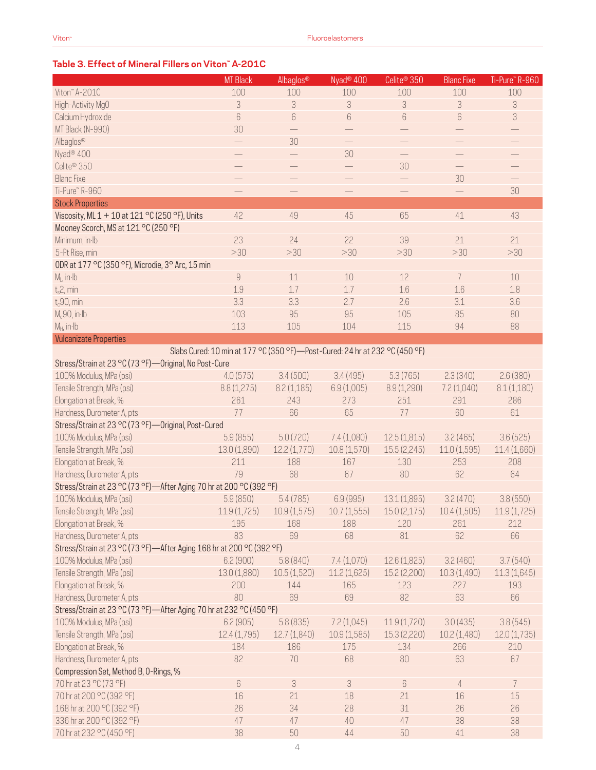### **Table 3. Effect of Mineral Fillers on Viton™ A-201C**

|                                                                      | <b>MT</b> Black               | Albaglos <sup>®</sup>      | Nyad <sup>®</sup> 400                                                         | Celite <sup>®</sup> 350  | <b>Blanc Fixe</b>        | Ti-Pure" R-960              |
|----------------------------------------------------------------------|-------------------------------|----------------------------|-------------------------------------------------------------------------------|--------------------------|--------------------------|-----------------------------|
| Viton™ A-201C                                                        | 100                           | 100                        | 100                                                                           | 100                      | 100                      | 100                         |
| High-Activity MgO                                                    | 3                             | 3                          | $\sqrt{3}$                                                                    | 3                        | 3                        | $\ensuremath{\mathsf{3}}$   |
| Calcium Hydroxide                                                    | $6\,$                         | $6\,$                      | $6\,$                                                                         | $6\,$                    | $\boldsymbol{6}$         | $\ensuremath{\mathfrak{Z}}$ |
| MT Black (N-990)                                                     | 30                            |                            |                                                                               |                          |                          |                             |
| Albaglos®                                                            | $\overline{\phantom{0}}$      | 30                         | $\qquad \qquad -$                                                             | $\overline{\phantom{0}}$ |                          | $\overline{\phantom{0}}$    |
| Nyad <sup>®</sup> 400                                                |                               |                            | 30                                                                            | $\qquad \qquad -$        |                          | $\overline{\phantom{0}}$    |
| Celite <sup>®</sup> 350                                              |                               |                            | $\qquad \qquad -$                                                             | 30                       |                          |                             |
|                                                                      | $\overline{\phantom{0}}$      |                            |                                                                               |                          | $\overline{\phantom{0}}$ | $\overline{\phantom{0}}$    |
| <b>Blanc Fixe</b>                                                    | $\overbrace{\phantom{13333}}$ |                            | $\qquad \qquad -$                                                             | $\qquad \qquad -$        | 30                       | $\qquad \qquad -$           |
| Ti-Pure" R-960                                                       | $\qquad \qquad -$             | $\qquad \qquad -$          | $\qquad \qquad -$                                                             | $\qquad \qquad -$        |                          | 30                          |
| <b>Stock Properties</b>                                              |                               |                            |                                                                               |                          |                          |                             |
| Viscosity, ML 1 + 10 at 121 °C (250 °F), Units                       | 42                            | 49                         | 45                                                                            | 65                       | 41                       | 43                          |
| Mooney Scorch, MS at 121 °C (250 °F)                                 |                               |                            |                                                                               |                          |                          |                             |
| Minimum, in Ib                                                       | 23                            | 24                         | 22                                                                            | 39                       | 21                       | 21                          |
| 5-Pt Rise, min                                                       | >30                           | >30                        | >30                                                                           | >30                      | >30                      | >30                         |
| ODR at 177 °C (350 °F), Microdie, 3° Arc, 15 min                     |                               |                            |                                                                               |                          |                          |                             |
| $M1$ , in Ib                                                         | $\overline{9}$                | 11                         | $10$                                                                          | 12                       | $\overline{7}$           | 10                          |
| $t_s$ 2, min                                                         | 1.9                           | 1.7                        | 1.7                                                                           | 1.6                      | 1.6                      | 1.8                         |
| $t_c$ 90, min                                                        | 3.3                           | 3.3                        | 2.7                                                                           | 2.6                      | 3.1                      | 3.6                         |
| $M_c$ 90, in·lb                                                      | 103                           | 95                         | 95                                                                            | 105                      | 85                       | 80                          |
| $M_H$ , in $Ib$                                                      | 113                           | 105                        | 104                                                                           | 115                      | 94                       | 88                          |
| <b>Vulcanizate Properties</b>                                        |                               |                            |                                                                               |                          |                          |                             |
|                                                                      |                               |                            |                                                                               |                          |                          |                             |
|                                                                      |                               |                            | Slabs Cured: 10 min at 177 °C (350 °F) - Post-Cured: 24 hr at 232 °C (450 °F) |                          |                          |                             |
| Stress/Strain at 23 °C (73 °F)-Original, No Post-Cure                |                               |                            |                                                                               |                          |                          |                             |
| 100% Modulus, MPa (psi)                                              | 4.0(575)                      | 3.4(500)                   | 3.4(495)                                                                      | 5.3(765)                 | 2.3(340)                 | 2.6(380)                    |
| Tensile Strength, MPa (psi)                                          | 8.8(1,275)                    | 8.2(1,185)                 | 6.9(1,005)                                                                    | 8.9(1,290)               | 7.2(1,040)               | 8.1(1,180)                  |
| Elongation at Break, %                                               | 261                           | 243                        | 273                                                                           | 251                      | 291                      | 286                         |
| Hardness, Durometer A, pts                                           | 77                            | 66                         | 65                                                                            | 77                       | 60                       | 61                          |
| Stress/Strain at 23 °C (73 °F)-Original, Post-Cured                  |                               |                            |                                                                               |                          |                          |                             |
| 100% Modulus, MPa (psi)                                              | 5.9(855)                      | 5.0(720)                   | 7.4(1,080)                                                                    | 12.5(1,815)              | 3.2(465)                 | 3.6(525)                    |
| Tensile Strength, MPa (psi)                                          | 13.0 (1,890)                  | 12.2(1,770)                | 10.8 (1,570)                                                                  | 15.5(2,245)              | 11.0(1,595)              | 11.4(1,660)                 |
| Elongation at Break, %                                               | 211                           | 188                        | 167                                                                           | 130                      | 253                      | 208                         |
| Hardness, Durometer A, pts                                           | 79                            | 68                         | 67                                                                            | 80                       | 62                       | 64                          |
| Stress/Strain at 23 °C (73 °F)-After Aging 70 hr at 200 °C (392 °F)  |                               |                            |                                                                               |                          |                          |                             |
| 100% Modulus, MPa (psi)                                              | 5.9(850)                      | 5.4(785)                   | 6.9(995)                                                                      | 13.1 (1,895)             | 3.2(470)                 | 3.8(550)                    |
| Tensile Strength, MPa (psi)                                          | 11.9(1,725)                   | 10.9(1,575)                | 10.7(1,555)                                                                   | 15.0(2,175)              | 10.4(1,505)              | 11.9(1,725)                 |
| Elongation at Break, %                                               | 195                           | 168                        | 188                                                                           | 120                      | 261                      | 212                         |
| Hardness, Durometer A, pts                                           | 83                            | 69                         | 68                                                                            | 81                       | 62                       | 66                          |
|                                                                      |                               |                            |                                                                               |                          |                          |                             |
| Stress/Strain at 23 °C (73 °F)-After Aging 168 hr at 200 °C (392 °F) |                               |                            |                                                                               |                          |                          |                             |
| 100% Modulus, MPa (psi)                                              | 6.2(900)                      | 5.8(840)                   | 7.4 (1,070)                                                                   | 12.6(1,825)              | 3.2(460)                 | 3.7(540)                    |
| Tensile Strength, MPa (psi)                                          | 13.0 (1,880)                  | 10.5(1,520)                | 11.2(1,625)                                                                   | 15.2 (2,200)             | 10.3(1,490)              | 11.3(1,645)                 |
| Elongation at Break, %                                               | 200                           | 144                        | 165                                                                           | 123                      | 227                      | 193                         |
| Hardness, Durometer A, pts                                           | 80                            | 69                         | 69                                                                            | 82                       | 63                       | 66                          |
| Stress/Strain at 23 °C (73 °F)—After Aging 70 hr at 232 °C (450 °F)  |                               |                            |                                                                               |                          |                          |                             |
| 100% Modulus, MPa (psi)                                              | 6.2(905)                      | 5.8(835)                   | 7.2(1,045)                                                                    | 11.9(1,720)              | 3.0(435)                 | 3.8(545)                    |
| Tensile Strength, MPa (psi)                                          | 12.4(1,795)                   | 12.7(1,840)                | 10.9(1,585)                                                                   | 15.3 (2,220)             | 10.2(1,480)              | 12.0(1,735)                 |
| Elongation at Break, %                                               | 184                           | 186                        | 175                                                                           | 134                      | 266                      | 210                         |
| Hardness, Durometer A, pts                                           | 82                            | 70                         | 68                                                                            | 80                       | 63                       | 67                          |
| Compression Set, Method B, O-Rings, %                                |                               |                            |                                                                               |                          |                          |                             |
| 70 hr at 23 °C (73 °F)                                               | $6\,$                         | $\ensuremath{\mathcal{S}}$ | $\sqrt{3}$                                                                    | $6\,$                    | $\overline{4}$           | $\overline{7}$              |
| 70 hr at 200 °C (392 °F)                                             | 16                            | 21                         | 18                                                                            | 21                       | 16                       | 15                          |
| 168 hr at 200 °C (392 °F)                                            | 26                            | 34                         | 28                                                                            | 31                       | 26                       | 26                          |
| 336 hr at 200 °C (392 °F)                                            | 47                            | 47                         | 40                                                                            | 47                       | 38                       | 38                          |
|                                                                      |                               |                            |                                                                               |                          |                          |                             |
| 70 hr at 232 °C (450 °F)                                             | 38                            | 50                         | 44                                                                            | 50                       | $41\,$                   | 38                          |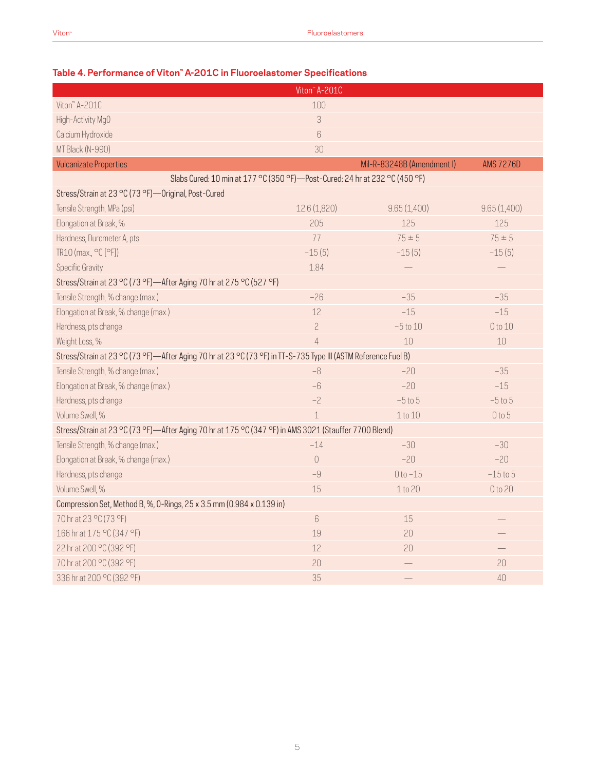|                                                                                                                | Viton <sup>"</sup> A-201C |                            |                  |  |  |  |
|----------------------------------------------------------------------------------------------------------------|---------------------------|----------------------------|------------------|--|--|--|
| Viton" A-201C                                                                                                  | 100                       |                            |                  |  |  |  |
| High-Activity MgO                                                                                              | 3                         |                            |                  |  |  |  |
| Calcium Hydroxide                                                                                              | 6                         |                            |                  |  |  |  |
| MT Black (N-990)                                                                                               | 30                        |                            |                  |  |  |  |
| <b>Vulcanizate Properties</b>                                                                                  |                           | Mil-R-83248B (Amendment I) | <b>AMS 7276D</b> |  |  |  |
| Slabs Cured: 10 min at 177 °C (350 °F) - Post-Cured: 24 hr at 232 °C (450 °F)                                  |                           |                            |                  |  |  |  |
| Stress/Strain at 23 °C (73 °F)-Original, Post-Cured                                                            |                           |                            |                  |  |  |  |
| Tensile Strength, MPa (psi)                                                                                    | 12.6 (1,820)              | 9.65(1,400)                | 9.65(1,400)      |  |  |  |
| Elongation at Break, %                                                                                         | 205                       | 125                        | 125              |  |  |  |
| Hardness, Durometer A, pts                                                                                     | 77                        | $75 \pm 5$                 | $75 \pm 5$       |  |  |  |
| TR10 (max., °C [°F])                                                                                           | $-15(5)$                  | $-15(5)$                   | $-15(5)$         |  |  |  |
| <b>Specific Gravity</b>                                                                                        | 1.84                      |                            |                  |  |  |  |
| Stress/Strain at 23 °C (73 °F)—After Aging 70 hr at 275 °C (527 °F)                                            |                           |                            |                  |  |  |  |
| Tensile Strength, % change (max.)                                                                              | $-26$                     | $-35$                      | $-35$            |  |  |  |
| Elongation at Break, % change (max.)                                                                           | 12                        | $-15$                      | $-15$            |  |  |  |
| Hardness, pts change                                                                                           | $\overline{c}$            | $-5$ to $10$               | 0 to 10          |  |  |  |
| Weight Loss, %                                                                                                 | $\overline{4}$            | 10                         | 10               |  |  |  |
| Stress/Strain at 23 °C (73 °F)-After Aging 70 hr at 23 °C (73 °F) in TT-S-735 Type III (ASTM Reference Fuel B) |                           |                            |                  |  |  |  |
| Tensile Strength, % change (max.)                                                                              | $-8$                      | $-20$                      | $-35$            |  |  |  |
| Elongation at Break, % change (max.)                                                                           | $-6$                      | $-20$                      | $-15$            |  |  |  |
| Hardness, pts change                                                                                           | $-2$                      | $-5t05$                    | $-5$ to $5$      |  |  |  |
| Volume Swell, %                                                                                                | $\mathbf 1$               | 1 to 10                    | 0 to 5           |  |  |  |
| Stress/Strain at 23 °C (73 °F)—After Aging 70 hr at 175 °C (347 °F) in AMS 3021 (Stauffer 7700 Blend)          |                           |                            |                  |  |  |  |
| Tensile Strength, % change (max.)                                                                              | $-14$                     | $-30$                      | $-30$            |  |  |  |
| Elongation at Break, % change (max.)                                                                           | $\bigcirc$                | $-20$                      | $-20$            |  |  |  |
| Hardness, pts change                                                                                           | $-9$                      | $0 to -15$                 | $-15$ to $5$     |  |  |  |
| Volume Swell, %                                                                                                | 15                        | 1 to 20                    | 0 to 20          |  |  |  |
| Compression Set, Method B, %, 0-Rings, 25 x 3.5 mm (0.984 x 0.139 in)                                          |                           |                            |                  |  |  |  |
| 70 hr at 23 °C (73 °F)                                                                                         | $6\,$                     | 15                         |                  |  |  |  |
| 166 hr at 175 °C (347 °F)                                                                                      | 19                        | 20                         |                  |  |  |  |
| 22 hr at 200 °C (392 °F)                                                                                       | 12                        | 20                         |                  |  |  |  |
| 70 hr at 200 °C (392 °F)                                                                                       | 20                        |                            | 20               |  |  |  |
| 336 hr at 200 °C (392 °F)                                                                                      | 35                        |                            | 40               |  |  |  |

### **Table 4. Performance of Viton™ A-201C in Fluoroelastomer Specifications**